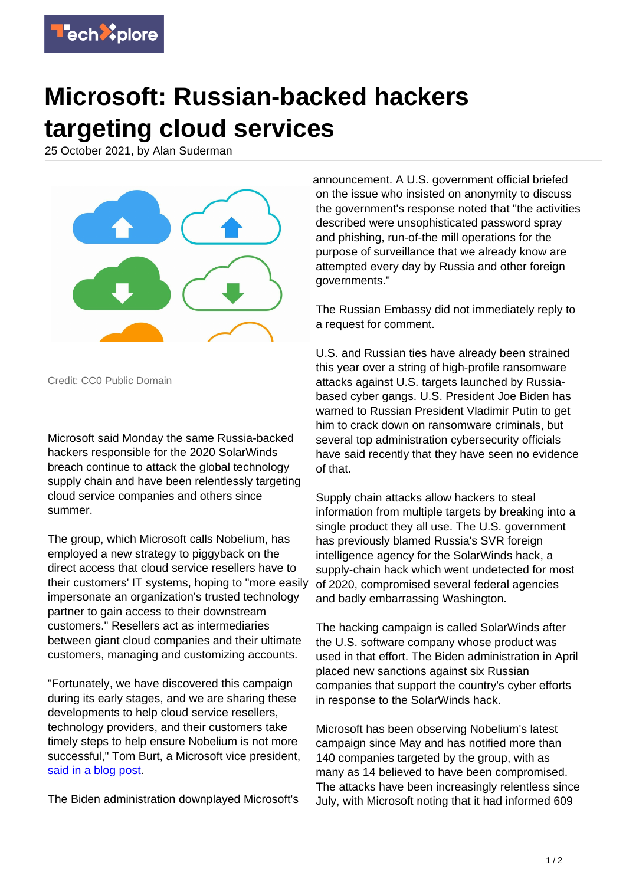

## **Microsoft: Russian-backed hackers targeting cloud services**

25 October 2021, by Alan Suderman



Credit: CC0 Public Domain

Microsoft said Monday the same Russia-backed hackers responsible for the 2020 SolarWinds breach continue to attack the global technology supply chain and have been relentlessly targeting cloud service companies and others since summer.

The group, which Microsoft calls Nobelium, has employed a new strategy to piggyback on the direct access that cloud service resellers have to their customers' IT systems, hoping to "more easily impersonate an organization's trusted technology partner to gain access to their downstream customers." Resellers act as intermediaries between giant cloud companies and their ultimate customers, managing and customizing accounts.

"Fortunately, we have discovered this campaign during its early stages, and we are sharing these developments to help cloud service resellers, technology providers, and their customers take timely steps to help ensure Nobelium is not more successful," Tom Burt, a Microsoft vice president, [said in a blog post](https://blogs.microsoft.com/on-the-issues/2021/10/24/new-activity-from-russian-actor-nobelium/).

The Biden administration downplayed Microsoft's

announcement. A U.S. government official briefed on the issue who insisted on anonymity to discuss the government's response noted that "the activities described were unsophisticated password spray and phishing, run-of-the mill operations for the purpose of surveillance that we already know are attempted every day by Russia and other foreign governments."

The Russian Embassy did not immediately reply to a request for comment.

U.S. and Russian ties have already been strained this year over a string of high-profile ransomware attacks against U.S. targets launched by Russiabased cyber gangs. U.S. President Joe Biden has warned to Russian President Vladimir Putin to get him to crack down on ransomware criminals, but several top administration cybersecurity officials have said recently that they have seen no evidence of that.

Supply chain attacks allow hackers to steal information from multiple targets by breaking into a single product they all use. The U.S. government has previously blamed Russia's SVR foreign intelligence agency for the SolarWinds hack, a supply-chain hack which went undetected for most of 2020, compromised several federal agencies and badly embarrassing Washington.

The hacking campaign is called SolarWinds after the U.S. software company whose product was used in that effort. The Biden administration in April placed new sanctions against six Russian companies that support the country's cyber efforts in response to the SolarWinds hack.

Microsoft has been observing Nobelium's latest campaign since May and has notified more than 140 companies targeted by the group, with as many as 14 believed to have been compromised. The attacks have been increasingly relentless since July, with Microsoft noting that it had informed 609